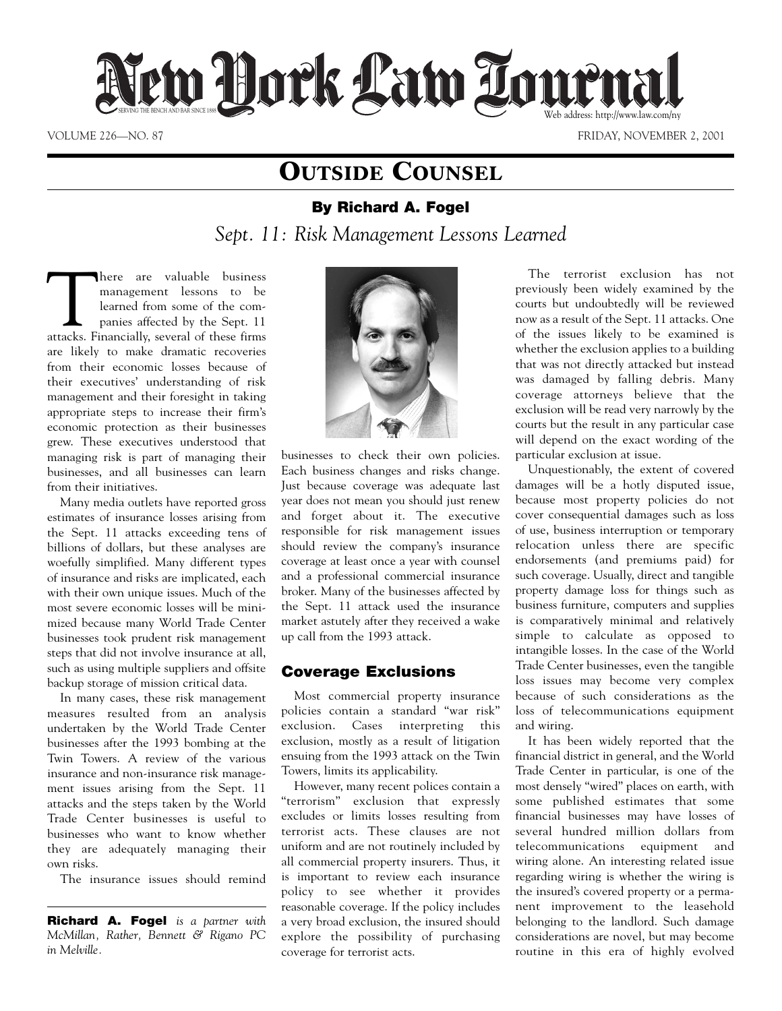

VOLUME 226—NO. 87 FRIDAY, NOVEMBER 2, 2001

# **OUTSIDE COUNSEL**

## **By Richard A. Fogel**

*Sept. 11: Risk Management Lessons Learned*

There are valuable business<br>
management lessons to be<br>
learned from some of the com-<br>
panies affected by the Sept. 11<br>
attacks. Financially, several of these firms management lessons to be learned from some of the companies affected by the Sept. 11 are likely to make dramatic recoveries from their economic losses because of their executives' understanding of risk management and their foresight in taking appropriate steps to increase their firm's economic protection as their businesses grew. These executives understood that managing risk is part of managing their businesses, and all businesses can learn from their initiatives.

Many media outlets have reported gross estimates of insurance losses arising from the Sept. 11 attacks exceeding tens of billions of dollars, but these analyses are woefully simplified. Many different types of insurance and risks are implicated, each with their own unique issues. Much of the most severe economic losses will be minimized because many World Trade Center businesses took prudent risk management steps that did not involve insurance at all, such as using multiple suppliers and offsite backup storage of mission critical data.

In many cases, these risk management measures resulted from an analysis undertaken by the World Trade Center businesses after the 1993 bombing at the Twin Towers. A review of the various insurance and non-insurance risk management issues arising from the Sept. 11 attacks and the steps taken by the World Trade Center businesses is useful to businesses who want to know whether they are adequately managing their own risks.

The insurance issues should remind

**Richard A. Fogel** *is a partner with McMillan, Rather, Bennett & Rigano PC in Melville.*



businesses to check their own policies. Each business changes and risks change. Just because coverage was adequate last year does not mean you should just renew and forget about it. The executive responsible for risk management issues should review the company's insurance coverage at least once a year with counsel and a professional commercial insurance broker. Many of the businesses affected by the Sept. 11 attack used the insurance market astutely after they received a wake up call from the 1993 attack.

## **Coverage Exclusions**

Most commercial property insurance policies contain a standard "war risk" exclusion. Cases interpreting this exclusion, mostly as a result of litigation ensuing from the 1993 attack on the Twin Towers, limits its applicability.

However, many recent polices contain a "terrorism" exclusion that expressly excludes or limits losses resulting from terrorist acts. These clauses are not uniform and are not routinely included by all commercial property insurers. Thus, it is important to review each insurance policy to see whether it provides reasonable coverage. If the policy includes a very broad exclusion, the insured should explore the possibility of purchasing coverage for terrorist acts.

The terrorist exclusion has not previously been widely examined by the courts but undoubtedly will be reviewed now as a result of the Sept. 11 attacks. One of the issues likely to be examined is whether the exclusion applies to a building that was not directly attacked but instead was damaged by falling debris. Many coverage attorneys believe that the exclusion will be read very narrowly by the courts but the result in any particular case will depend on the exact wording of the particular exclusion at issue.

Unquestionably, the extent of covered damages will be a hotly disputed issue, because most property policies do not cover consequential damages such as loss of use, business interruption or temporary relocation unless there are specific endorsements (and premiums paid) for such coverage. Usually, direct and tangible property damage loss for things such as business furniture, computers and supplies is comparatively minimal and relatively simple to calculate as opposed to intangible losses. In the case of the World Trade Center businesses, even the tangible loss issues may become very complex because of such considerations as the loss of telecommunications equipment and wiring.

It has been widely reported that the financial district in general, and the World Trade Center in particular, is one of the most densely "wired" places on earth, with some published estimates that some financial businesses may have losses of several hundred million dollars from telecommunications equipment and wiring alone. An interesting related issue regarding wiring is whether the wiring is the insured's covered property or a permanent improvement to the leasehold belonging to the landlord. Such damage considerations are novel, but may become routine in this era of highly evolved